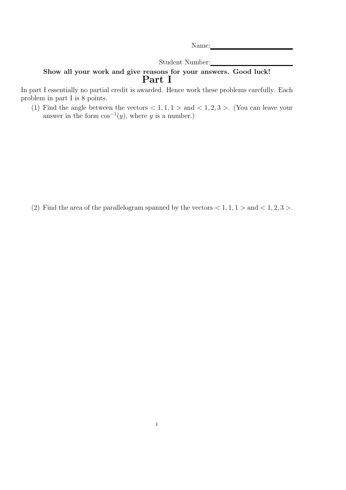Name:

Student Number:

## Show all your work and give reasons for your answers. Good luck! Part I

In part I essentially no partial credit is awarded. Hence work these problems carefully. Each problem in part I is 8 points.

(1) Find the angle between the vectors  $< 1, 1, 1 >$  and  $< 1, 2, 3 >$ . (You can leave your answer in the form  $\cos^{-1}(y)$ , where y is a number.)

(2) Find the area of the parallelogram spanned by the vectors  $< 1, 1, 1 >$  and  $< 1, 2, 3 >$ .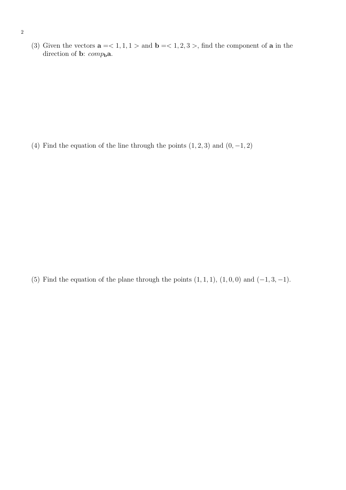(3) Given the vectors  $\mathbf{a} = 1, 1, 1 >$  and  $\mathbf{b} = 1, 2, 3 >$ , find the component of  $\mathbf{a}$  in the direction of **b**:  $comp<sub>b</sub>a$ .

(4) Find the equation of the line through the points  $(1, 2, 3)$  and  $(0, -1, 2)$ 

(5) Find the equation of the plane through the points  $(1, 1, 1)$ ,  $(1, 0, 0)$  and  $(-1, 3, -1)$ .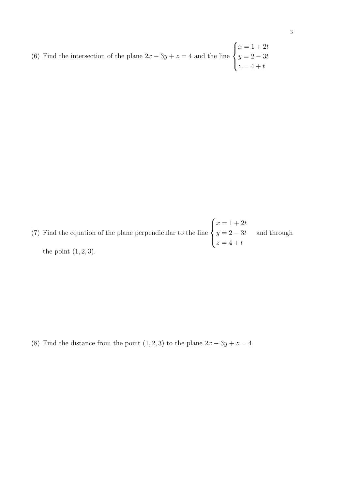(6) Find the intersection of the plane  $2x - 3y + z = 4$  and the line  $\sqrt{ }$  $\int$  $\overline{\mathcal{L}}$  $x = 1 + 2t$  $y = 2 - 3t$  $z=4+t$ 

(7) Find the equation of the plane perpendicular to the line  $\sqrt{ }$  $\int$  $\overline{\mathcal{L}}$  $x = 1 + 2t$  $y = 2 - 3t$  $z=4+t$ and through the point  $(1, 2, 3)$ .

(8) Find the distance from the point  $(1, 2, 3)$  to the plane  $2x - 3y + z = 4$ .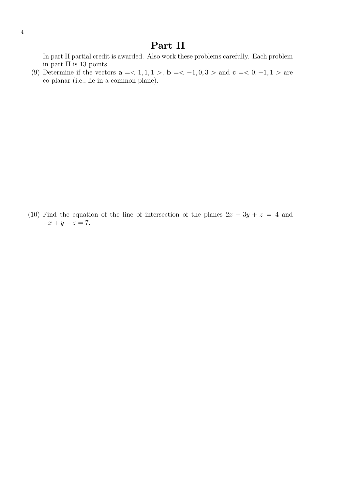## Part II

In part II partial credit is awarded. Also work these problems carefully. Each problem in part II is 13 points.

(9) Determine if the vectors  $a = 1, 1, 1 >, b = 1, 0, 3 >$  and  $c = 0, -1, 1 >$  are co-planar (i.e., lie in a common plane).

(10) Find the equation of the line of intersection of the planes  $2x - 3y + z = 4$  and  $-x + y - z = 7.$